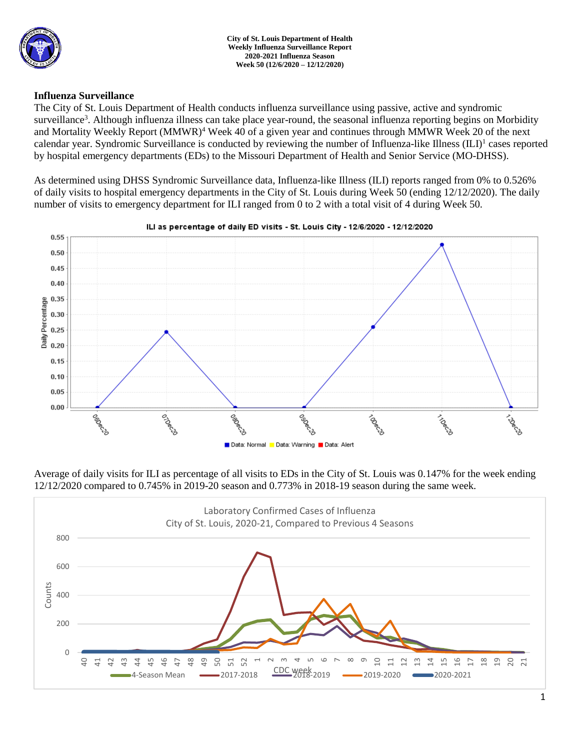

## **Influenza Surveillance**

The City of St. Louis Department of Health conducts influenza surveillance using passive, active and syndromic surveillance<sup>3</sup>. Although influenza illness can take place year-round, the seasonal influenza reporting begins on Morbidity and Mortality Weekly Report (MMWR)<sup>4</sup> Week 40 of a given year and continues through MMWR Week 20 of the next calendar year. Syndromic Surveillance is conducted by reviewing the number of Influenza-like Illness (ILI)<sup>1</sup> cases reported by hospital emergency departments (EDs) to the Missouri Department of Health and Senior Service (MO-DHSS).

As determined using DHSS Syndromic Surveillance data, Influenza-like Illness (ILI) reports ranged from 0% to 0.526% of daily visits to hospital emergency departments in the City of St. Louis during Week 50 (ending 12/12/2020). The daily number of visits to emergency department for ILI ranged from 0 to 2 with a total visit of 4 during Week 50.



### ILI as percentage of daily ED visits - St. Louis City - 12/6/2020 - 12/12/2020

Average of daily visits for ILI as percentage of all visits to EDs in the City of St. Louis was 0.147% for the week ending 12/12/2020 compared to 0.745% in 2019-20 season and 0.773% in 2018-19 season during the same week.

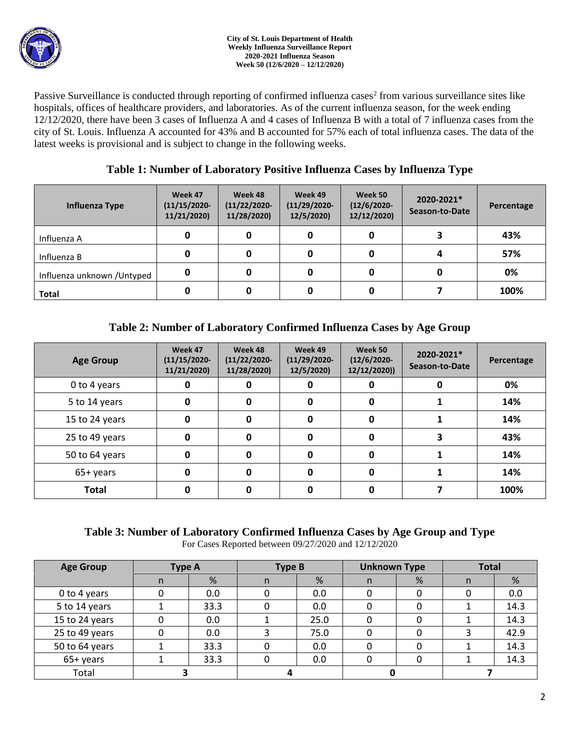Passive Surveillance is conducted through reporting of confirmed influenza cases<sup>2</sup> from various surveillance sites like hospitals, offices of healthcare providers, and laboratories. As of the current influenza season, for the week ending 12/12/2020, there have been 3 cases of Influenza A and 4 cases of Influenza B with a total of 7 influenza cases from the city of St. Louis. Influenza A accounted for 43% and B accounted for 57% each of total influenza cases. The data of the latest weeks is provisional and is subject to change in the following weeks.

## **Table 1: Number of Laboratory Positive Influenza Cases by Influenza Type**

| Influenza Type              | Week 47<br>$(11/15/2020 -$<br>11/21/2020) | Week 48<br>$(11/22/2020 -$<br>11/28/2020) | Week 49<br>$(11/29/2020 -$<br>12/5/2020) | Week 50<br>$(12/6/2020 -$<br>12/12/2020) | 2020-2021*<br>Season-to-Date | Percentage |
|-----------------------------|-------------------------------------------|-------------------------------------------|------------------------------------------|------------------------------------------|------------------------------|------------|
| Influenza A                 | 0                                         |                                           | 0                                        |                                          |                              | 43%        |
| Influenza B                 |                                           |                                           | 0                                        |                                          |                              | 57%        |
| Influenza unknown / Untyped | 0                                         |                                           | 0                                        |                                          |                              | 0%         |
| <b>Total</b>                |                                           |                                           | 0                                        |                                          |                              | 100%       |

# **Table 2: Number of Laboratory Confirmed Influenza Cases by Age Group**

| <b>Age Group</b> | Week 47<br>$(11/15/2020 -$<br>11/21/2020) | Week 48<br>$(11/22/2020 -$<br>11/28/2020) | Week 49<br>$(11/29/2020 -$<br>12/5/2020) | Week 50<br>$(12/6/2020 -$<br>12/12/2020)) | 2020-2021*<br>Season-to-Date | Percentage |
|------------------|-------------------------------------------|-------------------------------------------|------------------------------------------|-------------------------------------------|------------------------------|------------|
| 0 to 4 years     |                                           |                                           | 0                                        |                                           |                              | 0%         |
| 5 to 14 years    | 0                                         | U                                         | 0                                        | 0                                         |                              | 14%        |
| 15 to 24 years   | 0                                         | 0                                         | 0                                        | 0                                         |                              | 14%        |
| 25 to 49 years   | 0                                         | O                                         | 0                                        | 0                                         |                              | 43%        |
| 50 to 64 years   | 0                                         | <sup>0</sup>                              | 0                                        | 0                                         |                              | 14%        |
| 65+ years        | 0                                         | ŋ                                         | 0                                        | 0                                         |                              | 14%        |
| <b>Total</b>     |                                           |                                           |                                          |                                           |                              | 100%       |

# **Table 3: Number of Laboratory Confirmed Influenza Cases by Age Group and Type**

For Cases Reported between 09/27/2020 and 12/12/2020

| <b>Age Group</b> | <b>Type A</b> |      | <b>Type B</b> |      | <b>Unknown Type</b> |   | <b>Total</b> |      |
|------------------|---------------|------|---------------|------|---------------------|---|--------------|------|
|                  | n             | %    | n             | %    | n                   | % | n            | %    |
| 0 to 4 years     |               | 0.0  |               | 0.0  |                     |   |              | 0.0  |
| 5 to 14 years    |               | 33.3 |               | 0.0  |                     |   |              | 14.3 |
| 15 to 24 years   |               | 0.0  |               | 25.0 |                     |   |              | 14.3 |
| 25 to 49 years   |               | 0.0  |               | 75.0 |                     |   |              | 42.9 |
| 50 to 64 years   |               | 33.3 |               | 0.0  |                     |   |              | 14.3 |
| 65+ years        |               | 33.3 |               | 0.0  |                     |   |              | 14.3 |
| Total            |               |      |               |      |                     |   |              |      |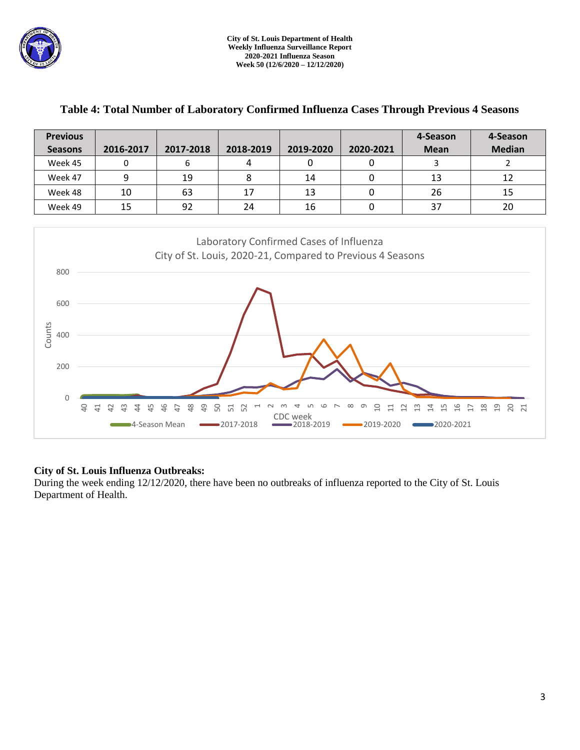

| <b>Previous</b><br><b>Seasons</b> | 2016-2017 | 2017-2018 | 2018-2019 | 2019-2020 | 2020-2021 | 4-Season<br><b>Mean</b> | 4-Season<br><b>Median</b> |
|-----------------------------------|-----------|-----------|-----------|-----------|-----------|-------------------------|---------------------------|
| Week 45                           |           | 6         |           | 0         |           |                         |                           |
| Week 47                           |           | 19        |           | 14        |           | 13                      | 12                        |
| Week 48                           | 10        | 63        | 17        | 13        |           | 26                      | 15                        |
| Week 49                           | 15        | 92        | 24        | 16        |           | 37                      | 20                        |
|                                   |           |           |           |           |           |                         |                           |

## **Table 4: Total Number of Laboratory Confirmed Influenza Cases Through Previous 4 Seasons**



## **City of St. Louis Influenza Outbreaks:**

During the week ending 12/12/2020, there have been no outbreaks of influenza reported to the City of St. Louis Department of Health.